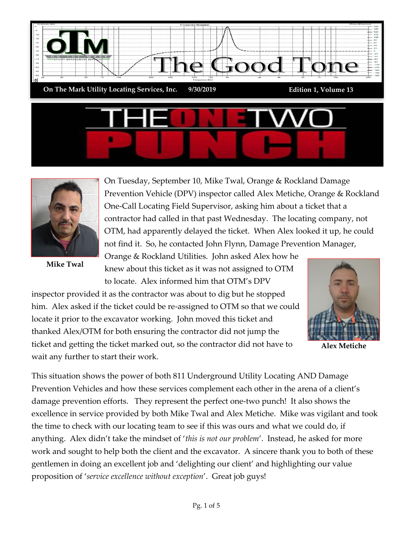



**Mike Twal**

On Tuesday, September 10, Mike Twal, Orange & Rockland Damage Prevention Vehicle (DPV) inspector called Alex Metiche, Orange & Rockland One-Call Locating Field Supervisor, asking him about a ticket that a contractor had called in that past Wednesday. The locating company, not OTM, had apparently delayed the ticket. When Alex looked it up, he could not find it. So, he contacted John Flynn, Damage Prevention Manager,

Orange & Rockland Utilities. John asked Alex how he knew about this ticket as it was not assigned to OTM to locate. Alex informed him that OTM's DPV

inspector provided it as the contractor was about to dig but he stopped him. Alex asked if the ticket could be re-assigned to OTM so that we could locate it prior to the excavator working. John moved this ticket and thanked Alex/OTM for both ensuring the contractor did not jump the ticket and getting the ticket marked out, so the contractor did not have to wait any further to start their work.



**Alex Metiche**

This situation shows the power of both 811 Underground Utility Locating AND Damage Prevention Vehicles and how these services complement each other in the arena of a client's damage prevention efforts. They represent the perfect one-two punch! It also shows the excellence in service provided by both Mike Twal and Alex Metiche. Mike was vigilant and took the time to check with our locating team to see if this was ours and what we could do, if anything. Alex didn't take the mindset of '*this is not our problem*'. Instead, he asked for more work and sought to help both the client and the excavator. A sincere thank you to both of these gentlemen in doing an excellent job and 'delighting our client' and highlighting our value proposition of '*service excellence without exception*'. Great job guys!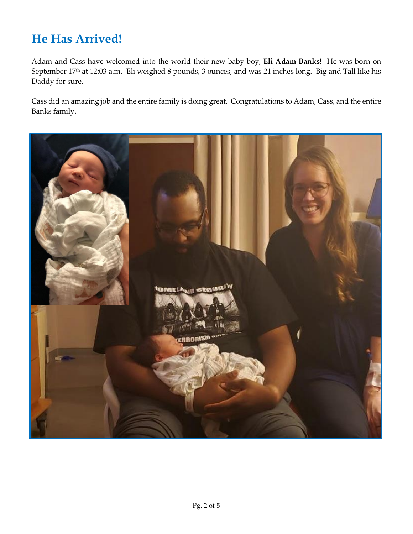### **He Has Arrived!**

Adam and Cass have welcomed into the world their new baby boy, **Eli Adam Banks**! He was born on September 17<sup>th</sup> at 12:03 a.m. Eli weighed 8 pounds, 3 ounces, and was 21 inches long. Big and Tall like his Daddy for sure.

Cass did an amazing job and the entire family is doing great. Congratulations to Adam, Cass, and the entire Banks family.

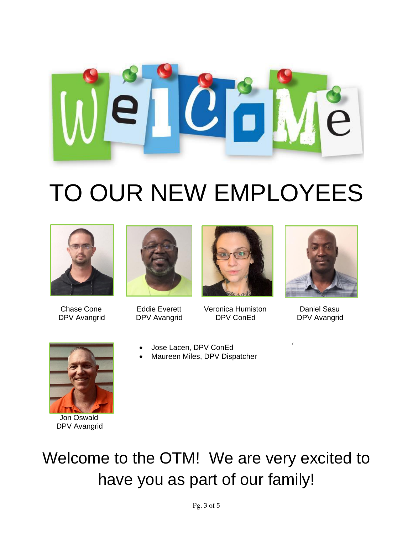

# TO OUR NEW EMPLOYEES







Chase Cone Eddie Everett Veronica Humiston Daniel Sasu<br>
RDV Avenetid PDV Avenetid PDV ConEd PDV Aveneti DPV Avangrid DPV Avangrid DPV ConEd DPV Avangrid Jon Oswald



'



 Jon Oswald DPV Avangrid  $h$ d $\alpha$ 

#### • Jose Lacen, DPV ConEd

• Jose Lacen, DPV ConEd<br>• Maureen Miles, DPV Dispatcher

## Welcome to the OTM! We are very excited to have you as part of our family!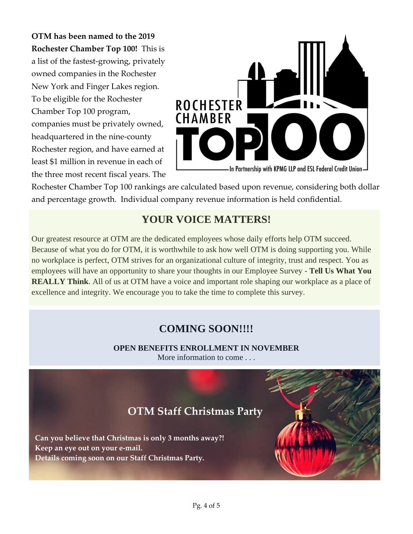**OTM has been named to the 2019 Rochester Chamber Top 100!** This is a list of the fastest-growing, privately owned companies in the Rochester New York and Finger Lakes region. To be eligible for the Rochester Chamber Top 100 program, companies must be privately owned, headquartered in the nine-county Rochester region, and have earned at least \$1 million in revenue in each of the three most recent fiscal years. The



Rochester Chamber Top 100 rankings are calculated based upon revenue, considering both dollar and percentage growth. Individual company revenue information is held confidential.

#### **YOUR VOICE MATTERS!**

Our greatest resource at OTM are the dedicated employees whose daily efforts help OTM succeed. Because of what you do for OTM, it is worthwhile to ask how well OTM is doing supporting you. While no workplace is perfect, OTM strives for an organizational culture of integrity, trust and respect. You as employees will have an opportunity to share your thoughts in our Employee Survey - **Tell Us What You REALLY Think**. All of us at OTM have a voice and important role shaping our workplace as a place of excellence and integrity. We encourage you to take the time to complete this survey.

#### **COMING SOON!!!!**

**OPEN BENEFITS ENROLLMENT IN NOVEMBER** More information to come . . .

### **OTM Staff Christmas Party**

 **Can you believe that Christmas is only 3 months away?! Keep an eye out on your e-mail. Details coming soon on our Staff Christmas Party.**